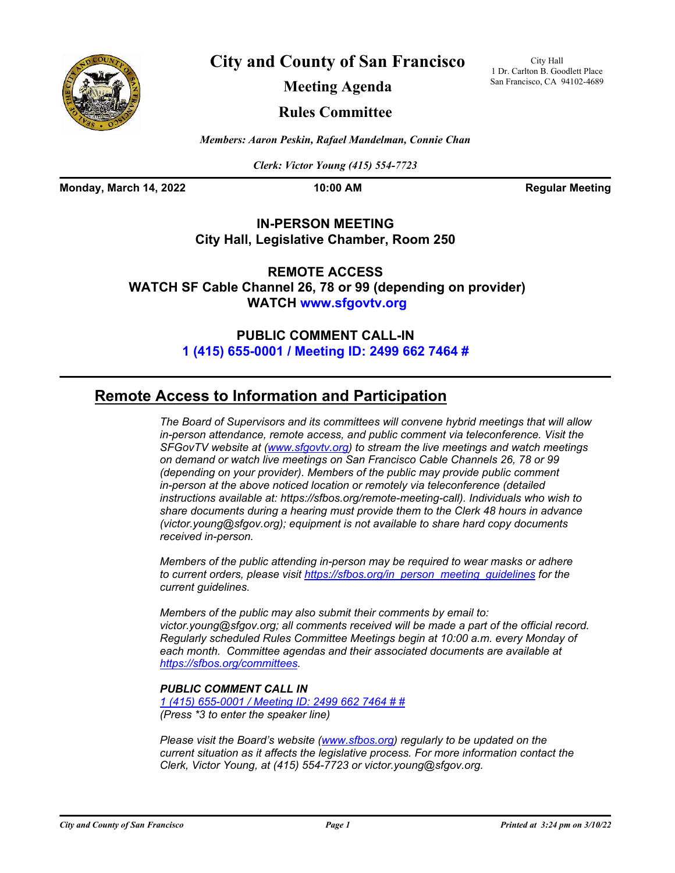

**City and County of San Francisco**

City Hall 1 Dr. Carlton B. Goodlett Place San Francisco, CA 94102-4689

**Meeting Agenda**

# **Rules Committee**

*Members: Aaron Peskin, Rafael Mandelman, Connie Chan*

*Clerk: Victor Young (415) 554-7723*

**Monday, March 14, 2022 10:00 AM Regular Meeting** 

## **IN-PERSON MEETING City Hall, Legislative Chamber, Room 250**

**REMOTE ACCESS WATCH SF Cable Channel 26, 78 or 99 (depending on provider) WATCH<www.sfgovtv.org>**

# **PUBLIC COMMENT CALL-IN [1 \(415\) 655-0001 / Meeting ID: 2499 662 7464 #](tel:+14156550001,,24996627464#,,#)**

# **Remote Access to Information and Participation**

*The Board of Supervisors and its committees will convene hybrid meetings that will allow in-person attendance, remote access, and public comment via teleconference. Visit the SFGovTV website at ([www.sfgovtv.org\)](www.sfgovtv.org) to stream the live meetings and watch meetings on demand or watch live meetings on San Francisco Cable Channels 26, 78 or 99 (depending on your provider). Members of the public may provide public comment in-person at the above noticed location or remotely via teleconference (detailed instructions available at: https://sfbos.org/remote-meeting-call). Individuals who wish to share documents during a hearing must provide them to the Clerk 48 hours in advance (victor.young@sfgov.org); equipment is not available to share hard copy documents received in-person.*

*Members of the public attending in-person may be required to wear masks or adhere to current orders, please visi[t https://sfbos.org/in\\_person\\_meeting\\_guidelines f](https://sfbos.org/in_person_meeting_guidelines)or the current guidelines.*

*Members of the public may also submit their comments by email to: victor.young@sfgov.org; all comments received will be made a part of the official record. Regularly scheduled Rules Committee Meetings begin at 10:00 a.m. every Monday of each month. Committee agendas and their associated documents are available at [https://sfbos.org/committees.](https://sfbos.org/committees)*

## *PUBLIC COMMENT CALL IN*

*[1 \(415\) 655-0001 / Meeting ID: 2499 662 7464 # #](tel:+14156550001,,24996627464#,,#) (Press \*3 to enter the speaker line)*

*Please visit the Board's website [\(www.sfbos.org\)](www.sfbos.org) regularly to be updated on the current situation as it affects the legislative process. For more information contact the Clerk, Victor Young, at (415) 554-7723 or victor.young@sfgov.org.*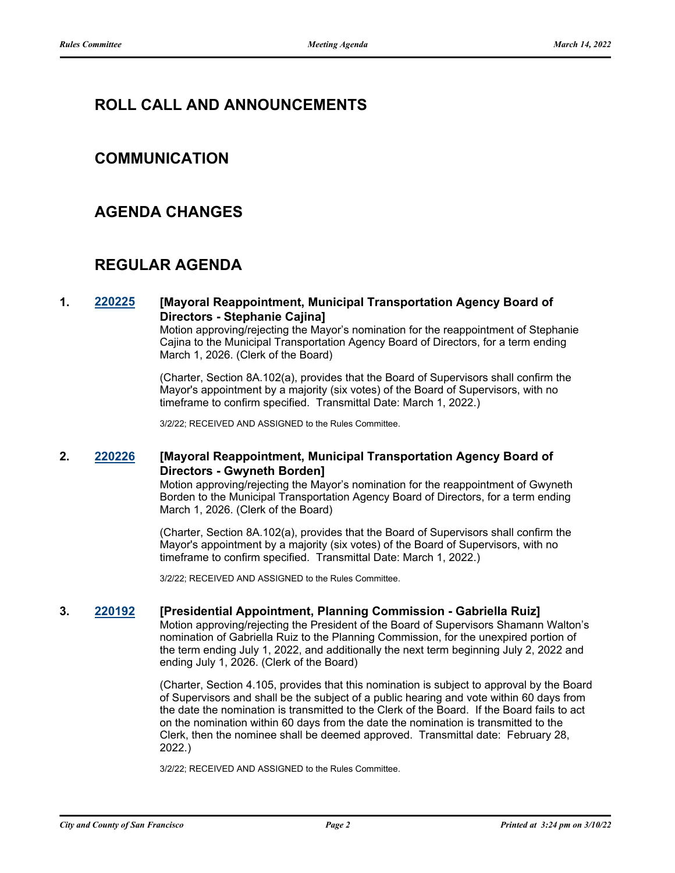# **ROLL CALL AND ANNOUNCEMENTS**

# **COMMUNICATION**

# **AGENDA CHANGES**

# **REGULAR AGENDA**

### **1. [220225](http://sfgov.legistar.com/gateway.aspx?m=l&id=38420) [Mayoral Reappointment, Municipal Transportation Agency Board of Directors - Stephanie Cajina]**

Motion approving/rejecting the Mayor's nomination for the reappointment of Stephanie Cajina to the Municipal Transportation Agency Board of Directors, for a term ending March 1, 2026. (Clerk of the Board)

(Charter, Section 8A.102(a), provides that the Board of Supervisors shall confirm the Mayor's appointment by a majority (six votes) of the Board of Supervisors, with no timeframe to confirm specified. Transmittal Date: March 1, 2022.)

3/2/22; RECEIVED AND ASSIGNED to the Rules Committee.

### **2. [220226](http://sfgov.legistar.com/gateway.aspx?m=l&id=38421) [Mayoral Reappointment, Municipal Transportation Agency Board of Directors - Gwyneth Borden]**

Motion approving/rejecting the Mayor's nomination for the reappointment of Gwyneth Borden to the Municipal Transportation Agency Board of Directors, for a term ending March 1, 2026. (Clerk of the Board)

(Charter, Section 8A.102(a), provides that the Board of Supervisors shall confirm the Mayor's appointment by a majority (six votes) of the Board of Supervisors, with no timeframe to confirm specified. Transmittal Date: March 1, 2022.)

3/2/22; RECEIVED AND ASSIGNED to the Rules Committee.

#### **3. [220192](http://sfgov.legistar.com/gateway.aspx?m=l&id=38387) [Presidential Appointment, Planning Commission - Gabriella Ruiz]**

Motion approving/rejecting the President of the Board of Supervisors Shamann Walton's nomination of Gabriella Ruiz to the Planning Commission, for the unexpired portion of the term ending July 1, 2022, and additionally the next term beginning July 2, 2022 and ending July 1, 2026. (Clerk of the Board)

(Charter, Section 4.105, provides that this nomination is subject to approval by the Board of Supervisors and shall be the subject of a public hearing and vote within 60 days from the date the nomination is transmitted to the Clerk of the Board. If the Board fails to act on the nomination within 60 days from the date the nomination is transmitted to the Clerk, then the nominee shall be deemed approved. Transmittal date: February 28, 2022.)

3/2/22; RECEIVED AND ASSIGNED to the Rules Committee.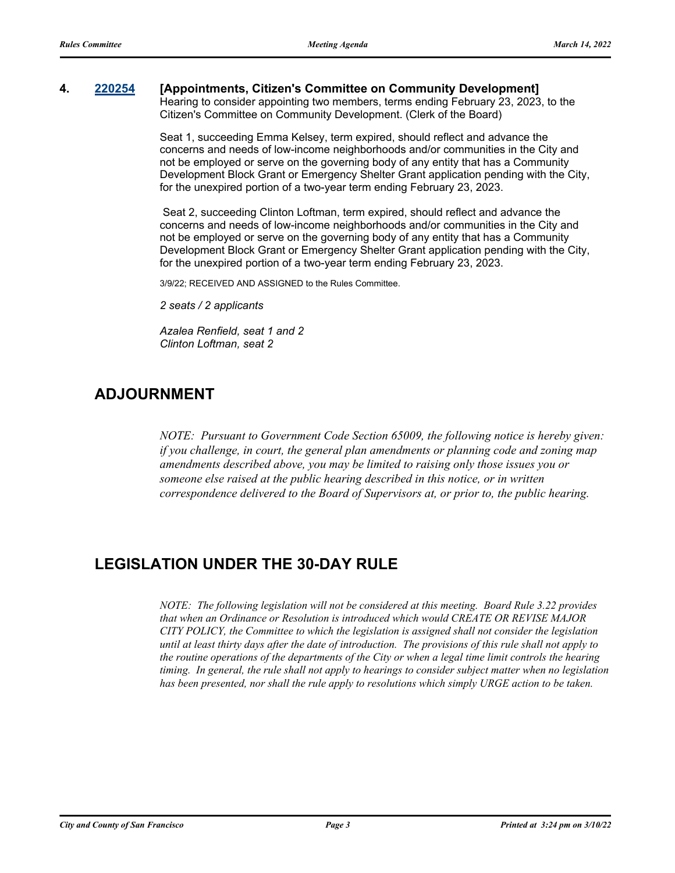### **4. [220254](http://sfgov.legistar.com/gateway.aspx?m=l&id=38446) [Appointments, Citizen's Committee on Community Development]**

Hearing to consider appointing two members, terms ending February 23, 2023, to the Citizen's Committee on Community Development. (Clerk of the Board)

Seat 1, succeeding Emma Kelsey, term expired, should reflect and advance the concerns and needs of low-income neighborhoods and/or communities in the City and not be employed or serve on the governing body of any entity that has a Community Development Block Grant or Emergency Shelter Grant application pending with the City, for the unexpired portion of a two-year term ending February 23, 2023.

 Seat 2, succeeding Clinton Loftman, term expired, should reflect and advance the concerns and needs of low-income neighborhoods and/or communities in the City and not be employed or serve on the governing body of any entity that has a Community Development Block Grant or Emergency Shelter Grant application pending with the City, for the unexpired portion of a two-year term ending February 23, 2023.

3/9/22; RECEIVED AND ASSIGNED to the Rules Committee.

*2 seats / 2 applicants*

*Azalea Renfield, seat 1 and 2 Clinton Loftman, seat 2*

# **ADJOURNMENT**

*NOTE: Pursuant to Government Code Section 65009, the following notice is hereby given: if you challenge, in court, the general plan amendments or planning code and zoning map amendments described above, you may be limited to raising only those issues you or someone else raised at the public hearing described in this notice, or in written correspondence delivered to the Board of Supervisors at, or prior to, the public hearing.*

# **LEGISLATION UNDER THE 30-DAY RULE**

*NOTE: The following legislation will not be considered at this meeting. Board Rule 3.22 provides that when an Ordinance or Resolution is introduced which would CREATE OR REVISE MAJOR CITY POLICY, the Committee to which the legislation is assigned shall not consider the legislation until at least thirty days after the date of introduction. The provisions of this rule shall not apply to the routine operations of the departments of the City or when a legal time limit controls the hearing timing. In general, the rule shall not apply to hearings to consider subject matter when no legislation has been presented, nor shall the rule apply to resolutions which simply URGE action to be taken.*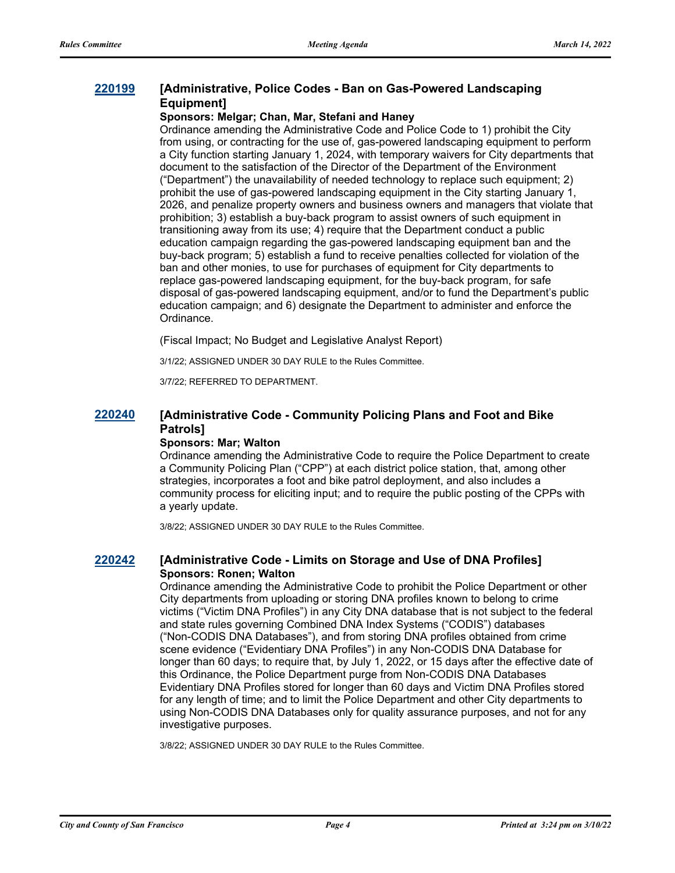## **[220199](http://sfgov.legistar.com/gateway.aspx?m=l&id=38394) [Administrative, Police Codes - Ban on Gas-Powered Landscaping Equipment]**

#### **Sponsors: Melgar; Chan, Mar, Stefani and Haney**

Ordinance amending the Administrative Code and Police Code to 1) prohibit the City from using, or contracting for the use of, gas-powered landscaping equipment to perform a City function starting January 1, 2024, with temporary waivers for City departments that document to the satisfaction of the Director of the Department of the Environment ("Department") the unavailability of needed technology to replace such equipment; 2) prohibit the use of gas-powered landscaping equipment in the City starting January 1, 2026, and penalize property owners and business owners and managers that violate that prohibition; 3) establish a buy-back program to assist owners of such equipment in transitioning away from its use; 4) require that the Department conduct a public education campaign regarding the gas-powered landscaping equipment ban and the buy-back program; 5) establish a fund to receive penalties collected for violation of the ban and other monies, to use for purchases of equipment for City departments to replace gas-powered landscaping equipment, for the buy-back program, for safe disposal of gas-powered landscaping equipment, and/or to fund the Department's public education campaign; and 6) designate the Department to administer and enforce the Ordinance.

(Fiscal Impact; No Budget and Legislative Analyst Report)

3/1/22; ASSIGNED UNDER 30 DAY RULE to the Rules Committee.

3/7/22; REFERRED TO DEPARTMENT.

## **[220240](http://sfgov.legistar.com/gateway.aspx?m=l&id=38432) [Administrative Code - Community Policing Plans and Foot and Bike Patrols]**

#### **Sponsors: Mar; Walton**

Ordinance amending the Administrative Code to require the Police Department to create a Community Policing Plan ("CPP") at each district police station, that, among other strategies, incorporates a foot and bike patrol deployment, and also includes a community process for eliciting input; and to require the public posting of the CPPs with a yearly update.

3/8/22; ASSIGNED UNDER 30 DAY RULE to the Rules Committee.

### **[220242](http://sfgov.legistar.com/gateway.aspx?m=l&id=38434) [Administrative Code - Limits on Storage and Use of DNA Profiles] Sponsors: Ronen; Walton**

Ordinance amending the Administrative Code to prohibit the Police Department or other City departments from uploading or storing DNA profiles known to belong to crime victims ("Victim DNA Profiles") in any City DNA database that is not subject to the federal and state rules governing Combined DNA Index Systems ("CODIS") databases ("Non-CODIS DNA Databases"), and from storing DNA profiles obtained from crime scene evidence ("Evidentiary DNA Profiles") in any Non-CODIS DNA Database for longer than 60 days; to require that, by July 1, 2022, or 15 days after the effective date of this Ordinance, the Police Department purge from Non-CODIS DNA Databases Evidentiary DNA Profiles stored for longer than 60 days and Victim DNA Profiles stored for any length of time; and to limit the Police Department and other City departments to using Non-CODIS DNA Databases only for quality assurance purposes, and not for any investigative purposes.

3/8/22; ASSIGNED UNDER 30 DAY RULE to the Rules Committee.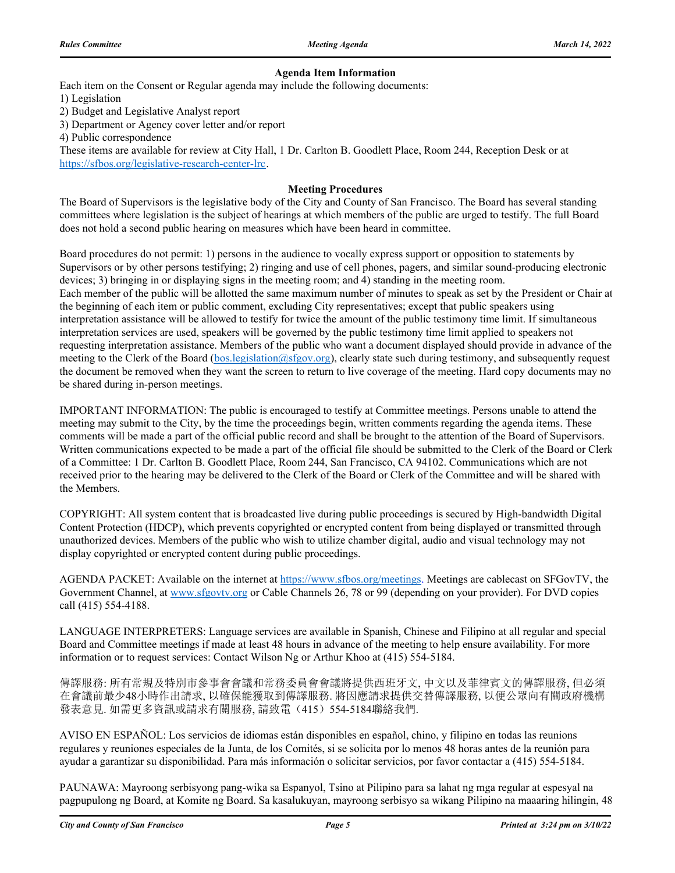#### **Agenda Item Information**

Each item on the Consent or Regular agenda may include the following documents:

1) Legislation

2) Budget and Legislative Analyst report

3) Department or Agency cover letter and/or report

4) Public correspondence

These items are available for review at City Hall, 1 Dr. Carlton B. Goodlett Place, Room 244, Reception Desk or at https://sfbos.org/legislative-research-center-lrc.

#### **Meeting Procedures**

The Board of Supervisors is the legislative body of the City and County of San Francisco. The Board has several standing committees where legislation is the subject of hearings at which members of the public are urged to testify. The full Board does not hold a second public hearing on measures which have been heard in committee.

Board procedures do not permit: 1) persons in the audience to vocally express support or opposition to statements by Supervisors or by other persons testifying; 2) ringing and use of cell phones, pagers, and similar sound-producing electronic devices; 3) bringing in or displaying signs in the meeting room; and 4) standing in the meeting room. Each member of the public will be allotted the same maximum number of minutes to speak as set by the President or Chair at the beginning of each item or public comment, excluding City representatives; except that public speakers using interpretation assistance will be allowed to testify for twice the amount of the public testimony time limit. If simultaneous interpretation services are used, speakers will be governed by the public testimony time limit applied to speakers not requesting interpretation assistance. Members of the public who want a document displayed should provide in advance of the meeting to the Clerk of the Board (bos.legislation@sfgov.org), clearly state such during testimony, and subsequently request the document be removed when they want the screen to return to live coverage of the meeting. Hard copy documents may no be shared during in-person meetings.

IMPORTANT INFORMATION: The public is encouraged to testify at Committee meetings. Persons unable to attend the meeting may submit to the City, by the time the proceedings begin, written comments regarding the agenda items. These comments will be made a part of the official public record and shall be brought to the attention of the Board of Supervisors. Written communications expected to be made a part of the official file should be submitted to the Clerk of the Board or Clerk of a Committee: 1 Dr. Carlton B. Goodlett Place, Room 244, San Francisco, CA 94102. Communications which are not received prior to the hearing may be delivered to the Clerk of the Board or Clerk of the Committee and will be shared with the Members.

COPYRIGHT: All system content that is broadcasted live during public proceedings is secured by High-bandwidth Digital Content Protection (HDCP), which prevents copyrighted or encrypted content from being displayed or transmitted through unauthorized devices. Members of the public who wish to utilize chamber digital, audio and visual technology may not display copyrighted or encrypted content during public proceedings.

AGENDA PACKET: Available on the internet at https://www.sfbos.org/meetings. Meetings are cablecast on SFGovTV, the Government Channel, at www.sfgovtv.org or Cable Channels 26, 78 or 99 (depending on your provider). For DVD copies call (415) 554-4188.

LANGUAGE INTERPRETERS: Language services are available in Spanish, Chinese and Filipino at all regular and special Board and Committee meetings if made at least 48 hours in advance of the meeting to help ensure availability. For more information or to request services: Contact Wilson Ng or Arthur Khoo at (415) 554-5184.

傳譯服務: 所有常規及特別市參事會會議和常務委員會會議將提供西班牙文, 中文以及菲律賓文的傳譯服務, 但必須 在會議前最少48小時作出請求, 以確保能獲取到傳譯服務. 將因應請求提供交替傳譯服務, 以便公眾向有關政府機構 發表意見. 如需更多資訊或請求有關服務, 請致電(415) 554-5184聯絡我們.

AVISO EN ESPAÑOL: Los servicios de idiomas están disponibles en español, chino, y filipino en todas las reunions regulares y reuniones especiales de la Junta, de los Comités, si se solicita por lo menos 48 horas antes de la reunión para ayudar a garantizar su disponibilidad. Para más información o solicitar servicios, por favor contactar a (415) 554-5184.

PAUNAWA: Mayroong serbisyong pang-wika sa Espanyol, Tsino at Pilipino para sa lahat ng mga regular at espesyal na pagpupulong ng Board, at Komite ng Board. Sa kasalukuyan, mayroong serbisyo sa wikang Pilipino na maaaring hilingin, 48